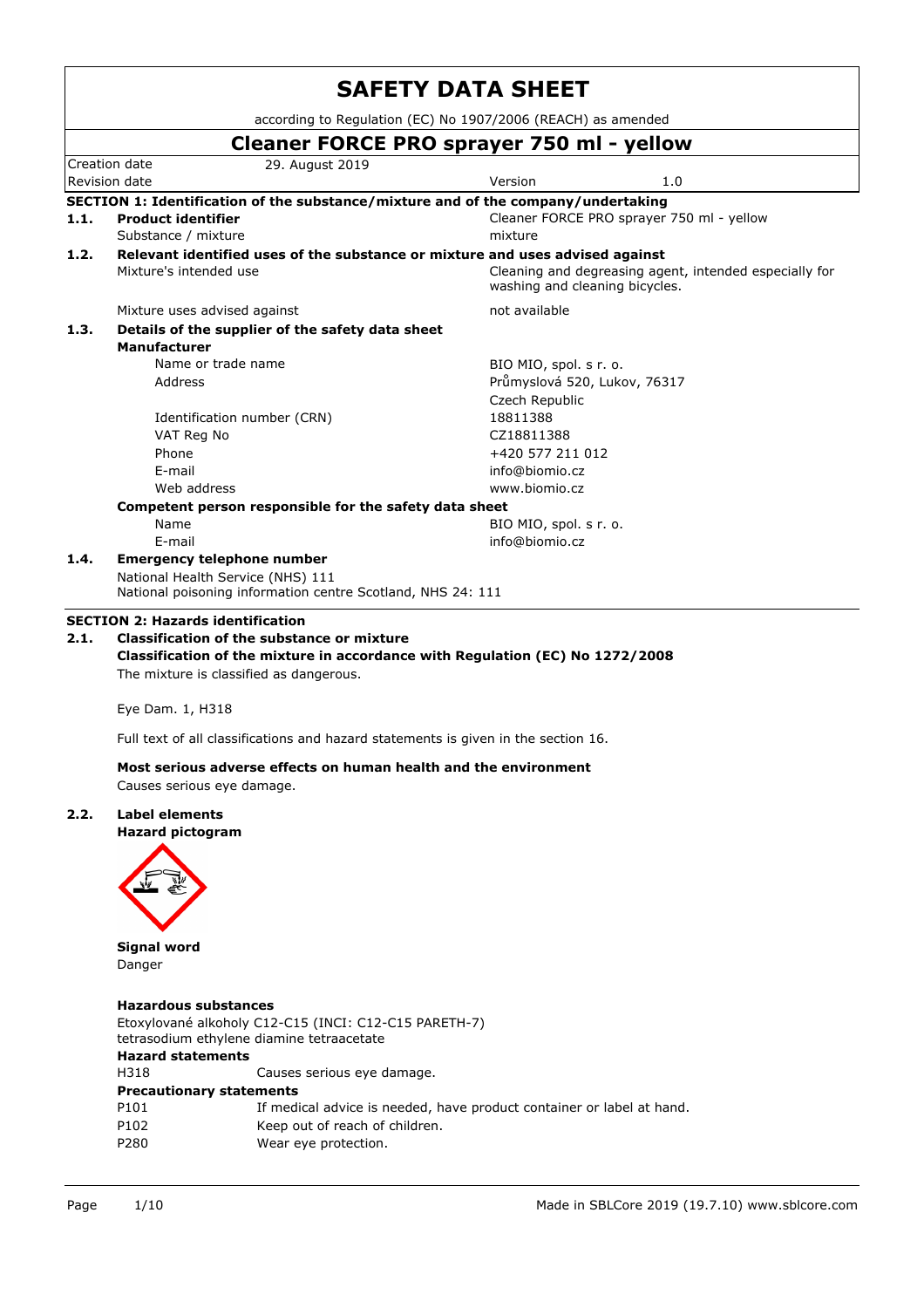|      |                                                  |                                                                                                    | <b>SAFETY DATA SHEET</b>                                                                                        |                                                        |  |
|------|--------------------------------------------------|----------------------------------------------------------------------------------------------------|-----------------------------------------------------------------------------------------------------------------|--------------------------------------------------------|--|
|      |                                                  |                                                                                                    | according to Regulation (EC) No 1907/2006 (REACH) as amended                                                    |                                                        |  |
|      |                                                  |                                                                                                    | Cleaner FORCE PRO sprayer 750 ml - yellow                                                                       |                                                        |  |
|      | Creation date<br>Revision date                   | 29. August 2019                                                                                    | Version                                                                                                         | 1.0                                                    |  |
|      |                                                  |                                                                                                    | SECTION 1: Identification of the substance/mixture and of the company/undertaking                               |                                                        |  |
| 1.1. | <b>Product identifier</b><br>Substance / mixture |                                                                                                    | mixture                                                                                                         | Cleaner FORCE PRO sprayer 750 ml - yellow              |  |
| 1.2. | Mixture's intended use                           |                                                                                                    | Relevant identified uses of the substance or mixture and uses advised against<br>washing and cleaning bicycles. | Cleaning and degreasing agent, intended especially for |  |
|      | Mixture uses advised against                     |                                                                                                    | not available                                                                                                   |                                                        |  |
| 1.3. | <b>Manufacturer</b>                              | Details of the supplier of the safety data sheet                                                   |                                                                                                                 |                                                        |  |
|      | Name or trade name                               |                                                                                                    | BIO MIO, spol. s r. o.                                                                                          |                                                        |  |
|      | Address                                          |                                                                                                    | Průmyslová 520, Lukov, 76317<br>Czech Republic                                                                  |                                                        |  |
|      |                                                  |                                                                                                    |                                                                                                                 |                                                        |  |
|      |                                                  | Identification number (CRN)                                                                        | 18811388                                                                                                        |                                                        |  |
|      | VAT Reg No                                       |                                                                                                    | CZ18811388                                                                                                      |                                                        |  |
|      | Phone                                            |                                                                                                    | +420 577 211 012                                                                                                |                                                        |  |
|      | E-mail                                           |                                                                                                    | info@biomio.cz                                                                                                  |                                                        |  |
|      | Web address                                      |                                                                                                    | www.biomio.cz                                                                                                   |                                                        |  |
|      |                                                  | Competent person responsible for the safety data sheet                                             |                                                                                                                 |                                                        |  |
|      | Name                                             |                                                                                                    | BIO MIO, spol. s r. o.                                                                                          |                                                        |  |
|      | E-mail                                           |                                                                                                    | info@biomio.cz                                                                                                  |                                                        |  |
| 1.4. | <b>Emergency telephone number</b>                | National Health Service (NHS) 111<br>National poisoning information centre Scotland, NHS 24: 111   |                                                                                                                 |                                                        |  |
|      | <b>SECTION 2: Hazards identification</b>         |                                                                                                    |                                                                                                                 |                                                        |  |
| 2.1. |                                                  | <b>Classification of the substance or mixture</b><br>The mixture is classified as dangerous.       | Classification of the mixture in accordance with Regulation (EC) No 1272/2008                                   |                                                        |  |
|      | Eye Dam. 1, H318                                 |                                                                                                    |                                                                                                                 |                                                        |  |
|      |                                                  |                                                                                                    | Full text of all classifications and hazard statements is given in the section 16.                              |                                                        |  |
|      | Causes serious eye damage.                       | Most serious adverse effects on human health and the environment                                   |                                                                                                                 |                                                        |  |
| 2.2. | <b>Label elements</b>                            |                                                                                                    |                                                                                                                 |                                                        |  |
|      | <b>Hazard pictogram</b>                          |                                                                                                    |                                                                                                                 |                                                        |  |
|      |                                                  |                                                                                                    |                                                                                                                 |                                                        |  |
|      |                                                  |                                                                                                    |                                                                                                                 |                                                        |  |
|      |                                                  |                                                                                                    |                                                                                                                 |                                                        |  |
|      | <b>Signal word</b>                               |                                                                                                    |                                                                                                                 |                                                        |  |
|      | Danger                                           |                                                                                                    |                                                                                                                 |                                                        |  |
|      | <b>Hazardous substances</b>                      |                                                                                                    |                                                                                                                 |                                                        |  |
|      |                                                  | Etoxylované alkoholy C12-C15 (INCI: C12-C15 PARETH-7)<br>tetrasodium ethylene diamine tetraacetate |                                                                                                                 |                                                        |  |
|      | <b>Hazard statements</b>                         |                                                                                                    |                                                                                                                 |                                                        |  |
|      | H318                                             | Causes serious eye damage.                                                                         |                                                                                                                 |                                                        |  |
|      | <b>Precautionary statements</b>                  |                                                                                                    |                                                                                                                 |                                                        |  |
|      | P101                                             |                                                                                                    | If medical advice is needed, have product container or label at hand.                                           |                                                        |  |
|      | P102                                             | Keep out of reach of children.                                                                     |                                                                                                                 |                                                        |  |
|      | P280                                             | Wear eye protection.                                                                               |                                                                                                                 |                                                        |  |
|      |                                                  |                                                                                                    |                                                                                                                 |                                                        |  |
|      |                                                  |                                                                                                    |                                                                                                                 |                                                        |  |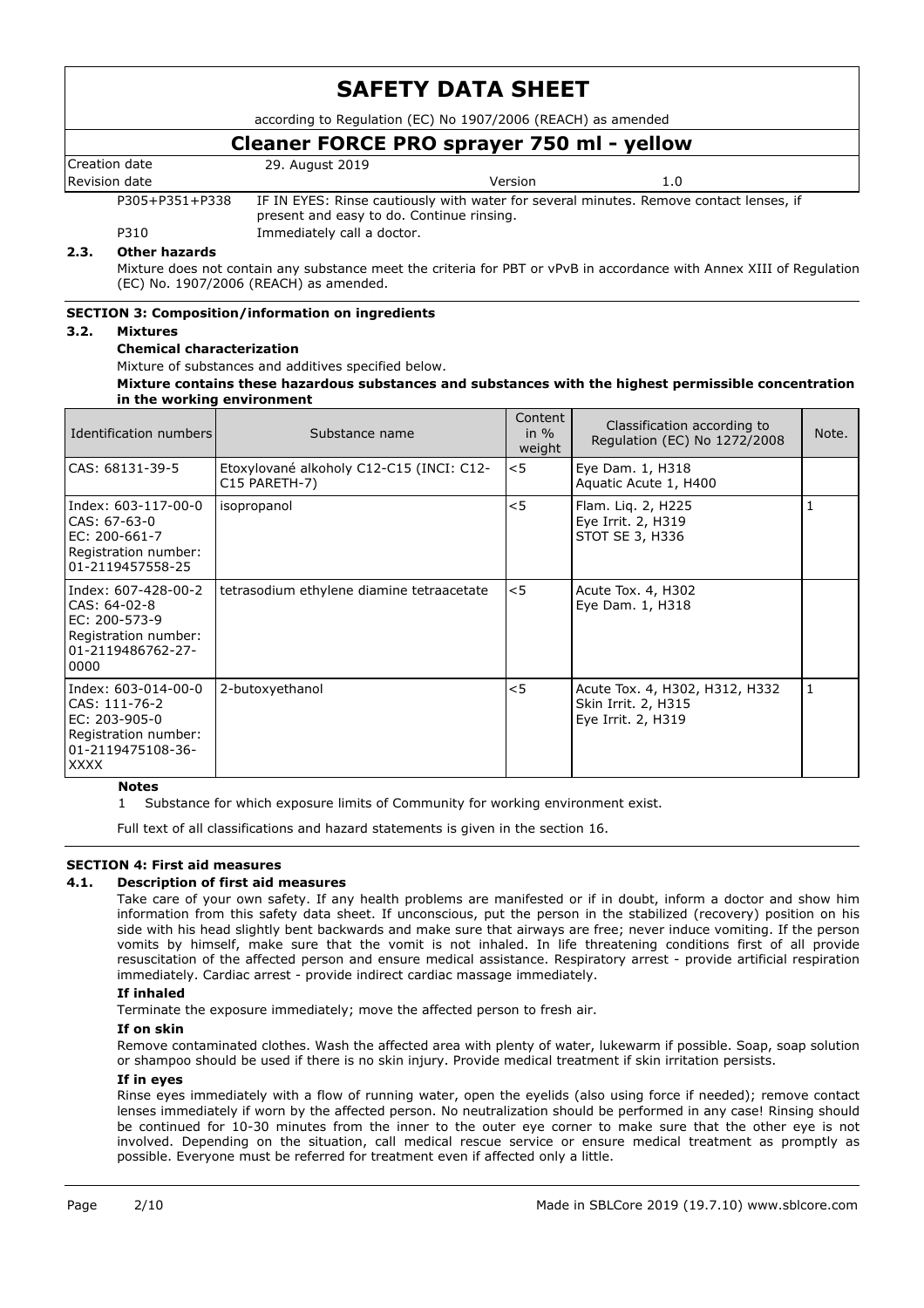according to Regulation (EC) No 1907/2006 (REACH) as amended

# **Cleaner FORCE PRO sprayer 750 ml - yellow**

| Creation date  | 29. August 2019                                                                                                                     |
|----------------|-------------------------------------------------------------------------------------------------------------------------------------|
| Revision date  | Version<br>1.0                                                                                                                      |
| P305+P351+P338 | IF IN EYES: Rinse cautiously with water for several minutes. Remove contact lenses, if<br>present and easy to do. Continue rinsing. |

P310 **Immediately call a doctor.** 

#### **2.3. Other hazards**

Mixture does not contain any substance meet the criteria for PBT or vPvB in accordance with Annex XIII of Regulation (EC) No. 1907/2006 (REACH) as amended.

## **SECTION 3: Composition/information on ingredients**

#### **3.2. Mixtures**

#### **Chemical characterization**

Mixture of substances and additives specified below.

#### **Mixture contains these hazardous substances and substances with the highest permissible concentration in the working environment**

| Identification numbers                                                                                            | Substance name                                            | Content<br>in $%$<br>weight | Classification according to<br>Regulation (EC) No 1272/2008                 | Note. |
|-------------------------------------------------------------------------------------------------------------------|-----------------------------------------------------------|-----------------------------|-----------------------------------------------------------------------------|-------|
| CAS: 68131-39-5                                                                                                   | Etoxylované alkoholy C12-C15 (INCI: C12-<br>C15 PARETH-7) | $<$ 5                       | Eye Dam. 1, H318<br>Aquatic Acute 1, H400                                   |       |
| Index: 603-117-00-0<br>CAS: 67-63-0<br>EC: 200-661-7<br>Registration number:<br>01-2119457558-25                  | isopropanol                                               | < 5                         | Flam. Lig. 2, H225<br>Eye Irrit. 2, H319<br>STOT SE 3, H336                 |       |
| Index: 607-428-00-2<br>CAS: 64-02-8<br>EC: 200-573-9<br>Registration number:<br>01-2119486762-27-<br>0000         | tetrasodium ethylene diamine tetraacetate                 | $<$ 5                       | Acute Tox. 4, H302<br>Eye Dam. 1, H318                                      |       |
| Index: 603-014-00-0<br>CAS: 111-76-2<br>EC: 203-905-0<br>Registration number:<br>01-2119475108-36-<br><b>XXXX</b> | 2-butoxyethanol                                           | < 5                         | Acute Tox. 4, H302, H312, H332<br>Skin Irrit. 2, H315<br>Eye Irrit. 2, H319 |       |

#### **Notes**

1 Substance for which exposure limits of Community for working environment exist.

Full text of all classifications and hazard statements is given in the section 16.

## **SECTION 4: First aid measures**

#### **4.1. Description of first aid measures**

Take care of your own safety. If any health problems are manifested or if in doubt, inform a doctor and show him information from this safety data sheet. If unconscious, put the person in the stabilized (recovery) position on his side with his head slightly bent backwards and make sure that airways are free; never induce vomiting. If the person vomits by himself, make sure that the vomit is not inhaled. In life threatening conditions first of all provide resuscitation of the affected person and ensure medical assistance. Respiratory arrest - provide artificial respiration immediately. Cardiac arrest - provide indirect cardiac massage immediately.

#### **If inhaled**

Terminate the exposure immediately; move the affected person to fresh air.

#### **If on skin**

Remove contaminated clothes. Wash the affected area with plenty of water, lukewarm if possible. Soap, soap solution or shampoo should be used if there is no skin injury. Provide medical treatment if skin irritation persists.

#### **If in eyes**

Rinse eyes immediately with a flow of running water, open the eyelids (also using force if needed); remove contact lenses immediately if worn by the affected person. No neutralization should be performed in any case! Rinsing should be continued for 10-30 minutes from the inner to the outer eye corner to make sure that the other eye is not involved. Depending on the situation, call medical rescue service or ensure medical treatment as promptly as possible. Everyone must be referred for treatment even if affected only a little.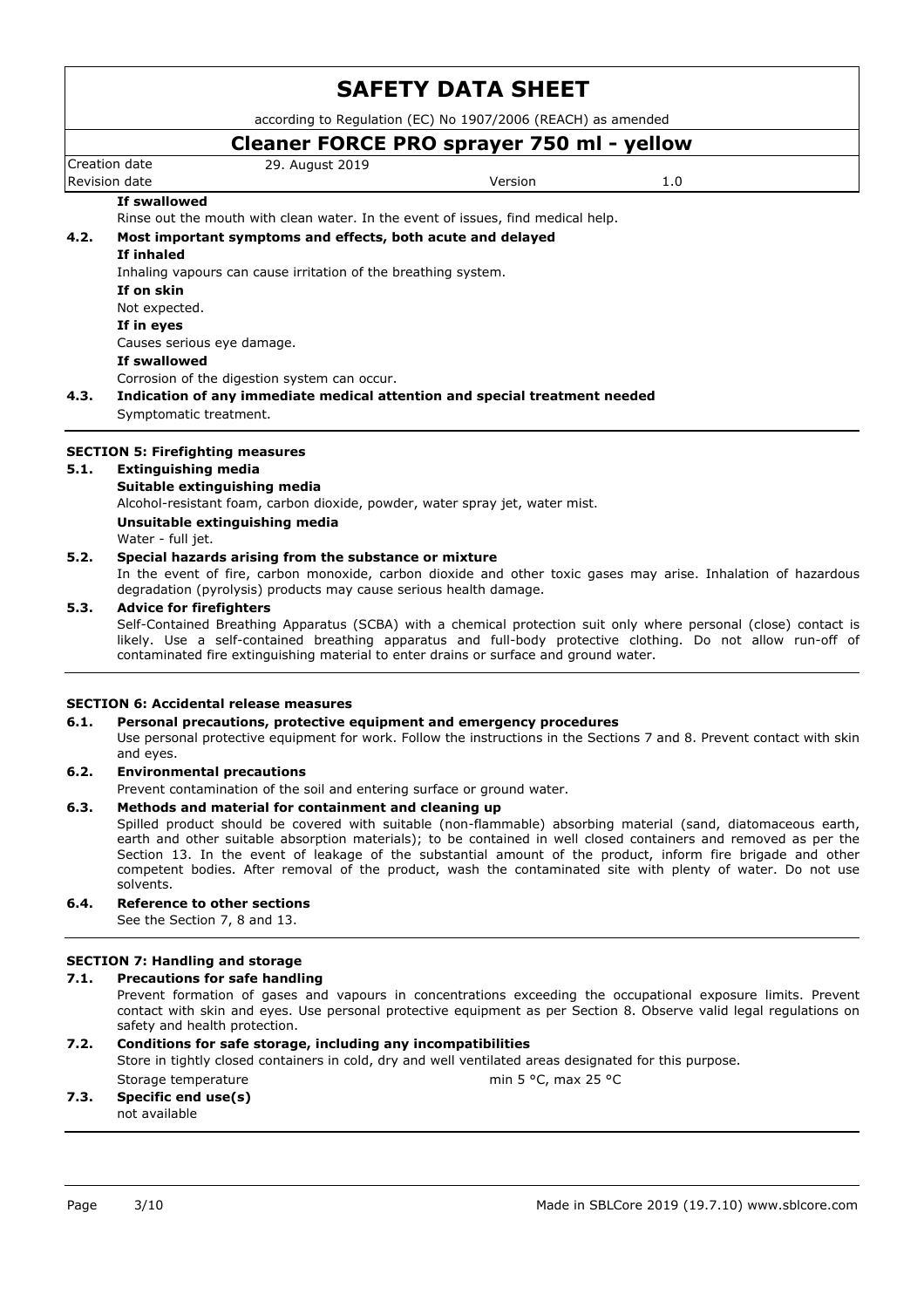according to Regulation (EC) No 1907/2006 (REACH) as amended

## Creation date 29. August 2019 Revision date and the Version of the Version of the Version of the Version of the Version of the Version of the Version of the Version of the Version of the Version of the Version of the Version of the Version of the Versi **Cleaner FORCE PRO sprayer 750 ml - yellow If swallowed** Rinse out the mouth with clean water. In the event of issues, find medical help. **4.2. Most important symptoms and effects, both acute and delayed If inhaled** Inhaling vapours can cause irritation of the breathing system. **If on skin** Not expected. **If in eyes** Causes serious eye damage. **If swallowed** Corrosion of the digestion system can occur. **4.3. Indication of any immediate medical attention and special treatment needed** Symptomatic treatment. **SECTION 5: Firefighting measures 5.1. Extinguishing media**

# **Suitable extinguishing media**

Alcohol-resistant foam, carbon dioxide, powder, water spray jet, water mist.

#### **Unsuitable extinguishing media**

Water - full jet.

#### **5.2. Special hazards arising from the substance or mixture**

In the event of fire, carbon monoxide, carbon dioxide and other toxic gases may arise. Inhalation of hazardous degradation (pyrolysis) products may cause serious health damage.

#### **5.3. Advice for firefighters**

Self-Contained Breathing Apparatus (SCBA) with a chemical protection suit only where personal (close) contact is likely. Use a self-contained breathing apparatus and full-body protective clothing. Do not allow run-off of contaminated fire extinguishing material to enter drains or surface and ground water.

#### **SECTION 6: Accidental release measures**

#### **6.1. Personal precautions, protective equipment and emergency procedures**

Use personal protective equipment for work. Follow the instructions in the Sections 7 and 8. Prevent contact with skin and eyes.

#### **6.2. Environmental precautions**

Prevent contamination of the soil and entering surface or ground water.

#### **6.3. Methods and material for containment and cleaning up**

Spilled product should be covered with suitable (non-flammable) absorbing material (sand, diatomaceous earth, earth and other suitable absorption materials); to be contained in well closed containers and removed as per the Section 13. In the event of leakage of the substantial amount of the product, inform fire brigade and other competent bodies. After removal of the product, wash the contaminated site with plenty of water. Do not use solvents.

# **6.4. Reference to other sections**

See the Section 7, 8 and 13.

## **SECTION 7: Handling and storage**

## **7.1. Precautions for safe handling**

Prevent formation of gases and vapours in concentrations exceeding the occupational exposure limits. Prevent contact with skin and eyes. Use personal protective equipment as per Section 8. Observe valid legal regulations on safety and health protection.

## **7.2. Conditions for safe storage, including any incompatibilities**

Store in tightly closed containers in cold, dry and well ventilated areas designated for this purpose. Storage temperature min 5 °C, max 25 °C

# **7.3. Specific end use(s)**

not available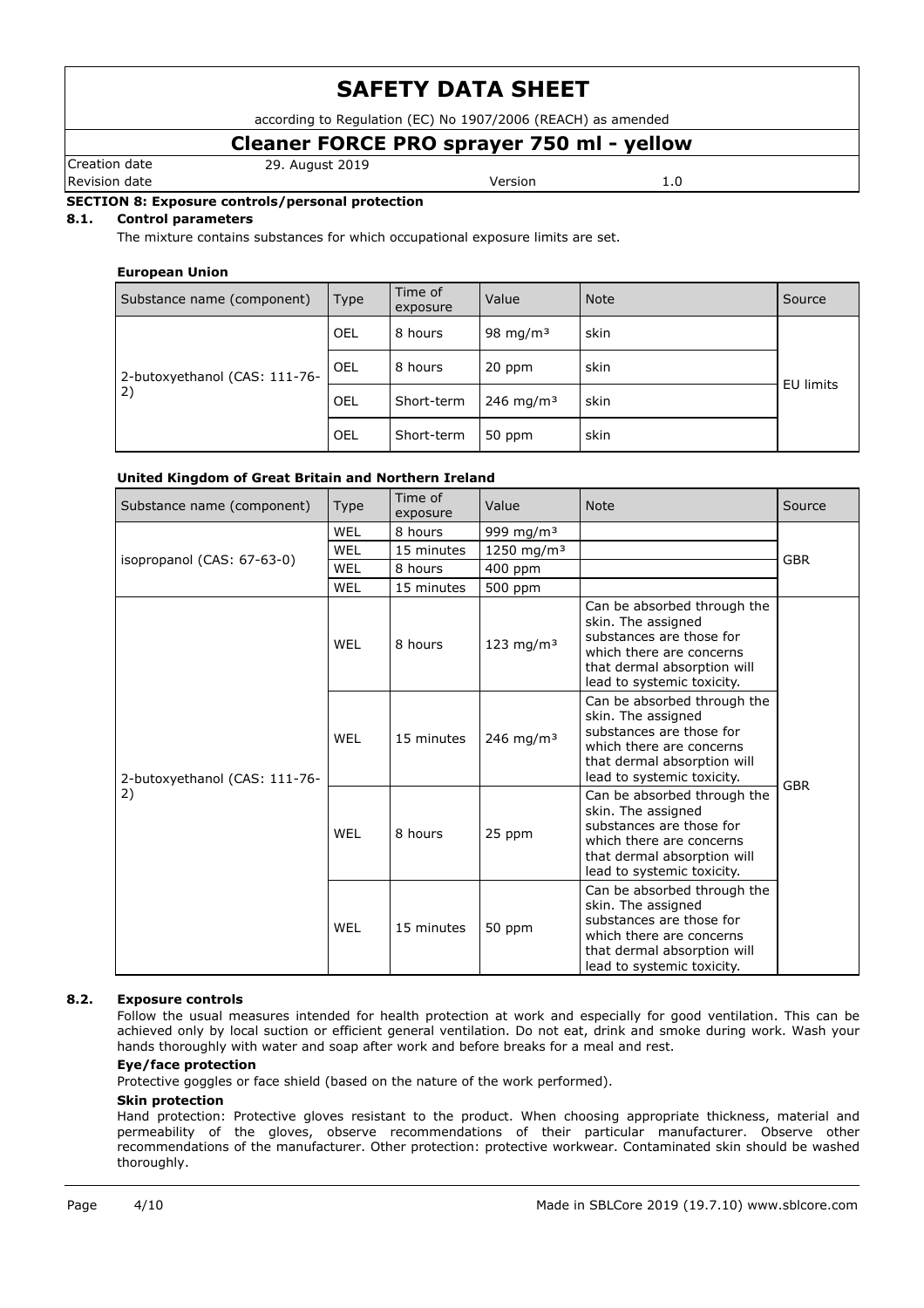according to Regulation (EC) No 1907/2006 (REACH) as amended

# **Cleaner FORCE PRO sprayer 750 ml - yellow**

Revision date **Version** 2.0

Creation date 29. August 2019

# **SECTION 8: Exposure controls/personal protection**

# **8.1. Control parameters**

The mixture contains substances for which occupational exposure limits are set.

#### **European Union**

| Substance name (component)    | <b>Type</b> | Time of<br>exposure | Value                 | <b>Note</b> | Source    |  |
|-------------------------------|-------------|---------------------|-----------------------|-------------|-----------|--|
|                               | OEL         | 8 hours             | 98 mg/m $3$           | skin        |           |  |
| 2-butoxyethanol (CAS: 111-76- | <b>OEL</b>  | 8 hours             | 20 ppm                | skin        | EU limits |  |
| 2)                            | OEL         | Short-term          | 246 mg/m <sup>3</sup> | skin        |           |  |
|                               | OEL         | Short-term          | 50 ppm                | skin        |           |  |

#### **United Kingdom of Great Britain and Northern Ireland**

| Substance name (component)    | Type       | Time of<br>exposure | Value                  | <b>Note</b>                                                                                                                                                            | Source     |
|-------------------------------|------------|---------------------|------------------------|------------------------------------------------------------------------------------------------------------------------------------------------------------------------|------------|
|                               | <b>WEL</b> | 8 hours             | 999 mg/m <sup>3</sup>  |                                                                                                                                                                        |            |
| isopropanol (CAS: 67-63-0)    | WEL        | 15 minutes          | 1250 mg/m <sup>3</sup> |                                                                                                                                                                        | <b>GBR</b> |
|                               | WEL        | 8 hours             | 400 ppm                |                                                                                                                                                                        |            |
|                               | WEL        | 15 minutes          | 500 ppm                |                                                                                                                                                                        |            |
|                               | WEL        | 8 hours             | 123 mg/m $3$           | Can be absorbed through the<br>skin. The assigned<br>substances are those for<br>which there are concerns<br>that dermal absorption will<br>lead to systemic toxicity. |            |
| 2-butoxyethanol (CAS: 111-76- | WEL        | 15 minutes          | 246 mg/m <sup>3</sup>  | Can be absorbed through the<br>skin. The assigned<br>substances are those for<br>which there are concerns<br>that dermal absorption will<br>lead to systemic toxicity. | <b>GBR</b> |
| 2)                            | WEL        | 8 hours             | 25 ppm                 | Can be absorbed through the<br>skin. The assigned<br>substances are those for<br>which there are concerns<br>that dermal absorption will<br>lead to systemic toxicity. |            |
|                               | WEL        | 15 minutes          | 50 ppm                 | Can be absorbed through the<br>skin. The assigned<br>substances are those for<br>which there are concerns<br>that dermal absorption will<br>lead to systemic toxicity. |            |

#### **8.2. Exposure controls**

Follow the usual measures intended for health protection at work and especially for good ventilation. This can be achieved only by local suction or efficient general ventilation. Do not eat, drink and smoke during work. Wash your hands thoroughly with water and soap after work and before breaks for a meal and rest.

#### **Eye/face protection**

Protective goggles or face shield (based on the nature of the work performed).

#### **Skin protection**

Hand protection: Protective gloves resistant to the product. When choosing appropriate thickness, material and permeability of the gloves, observe recommendations of their particular manufacturer. Observe other recommendations of the manufacturer. Other protection: protective workwear. Contaminated skin should be washed thoroughly.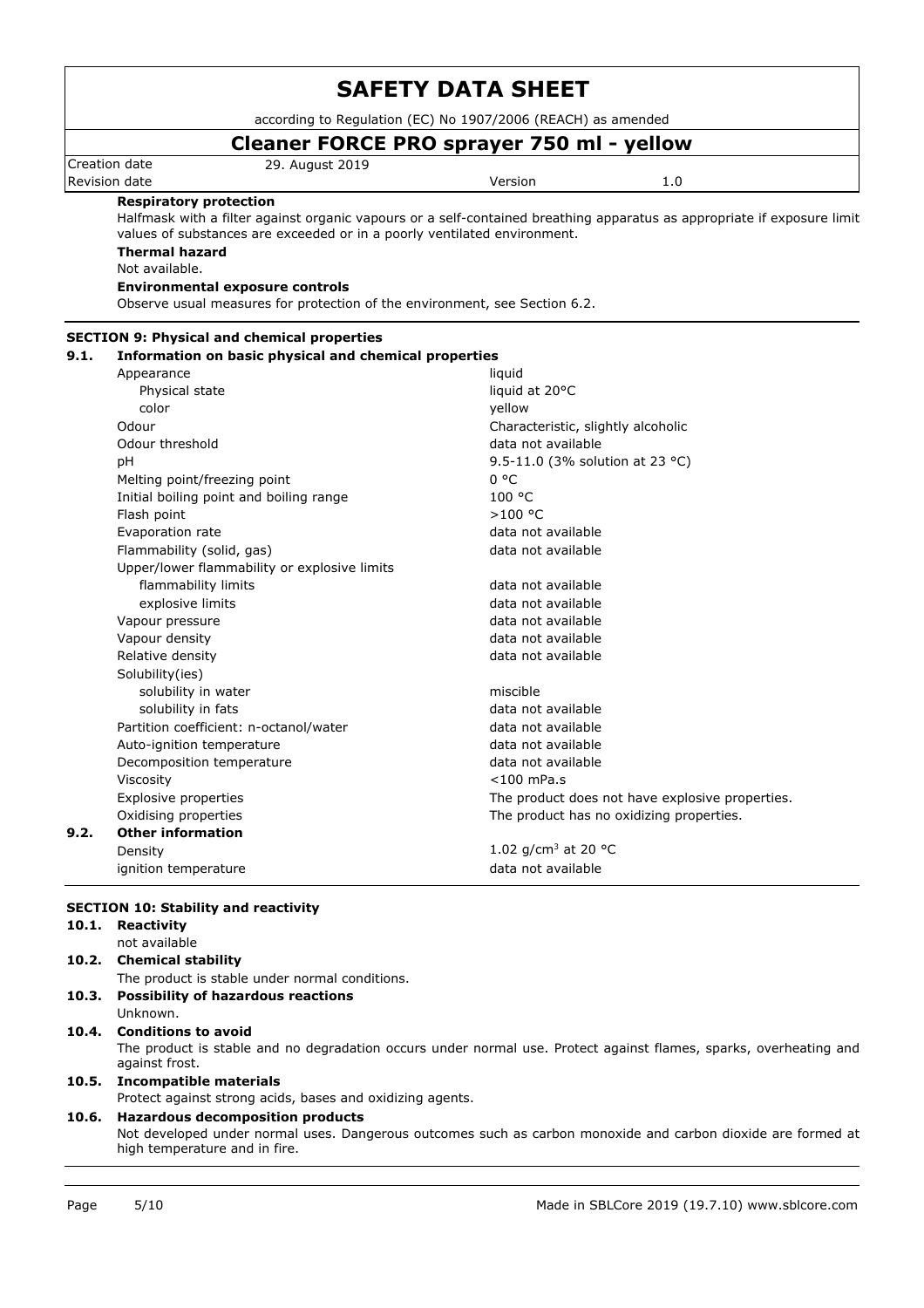according to Regulation (EC) No 1907/2006 (REACH) as amended

# **Cleaner FORCE PRO sprayer 750 ml - yellow**

Creation date 29. August 2019 Revision date and the version of the Version of the Version of the Version of the Version of the Version of the Version of the Version of the Version of the Version of the Version of the Version of the Version of the Versi

### **Respiratory protection**

Halfmask with a filter against organic vapours or a self-contained breathing apparatus as appropriate if exposure limit values of substances are exceeded or in a poorly ventilated environment.

## **Thermal hazard**

Not available.

#### **Environmental exposure controls**

Observe usual measures for protection of the environment, see Section 6.2.

| 9.1. | Information on basic physical and chemical properties |                                                 |
|------|-------------------------------------------------------|-------------------------------------------------|
|      | Appearance                                            | liquid                                          |
|      | Physical state                                        | liquid at 20°C                                  |
|      | color                                                 | vellow                                          |
|      | Odour                                                 | Characteristic, slightly alcoholic              |
|      | Odour threshold                                       | data not available                              |
|      | рH                                                    | 9.5-11.0 (3% solution at 23 °C)                 |
|      | Melting point/freezing point                          | 0 °C                                            |
|      | Initial boiling point and boiling range               | 100 °C                                          |
|      | Flash point                                           | >100 °C                                         |
|      | Evaporation rate                                      | data not available                              |
|      | Flammability (solid, gas)                             | data not available                              |
|      | Upper/lower flammability or explosive limits          |                                                 |
|      | flammability limits                                   | data not available                              |
|      | explosive limits                                      | data not available                              |
|      | Vapour pressure                                       | data not available                              |
|      | Vapour density                                        | data not available                              |
|      | Relative density                                      | data not available                              |
|      | Solubility(ies)                                       |                                                 |
|      | solubility in water                                   | miscible                                        |
|      | solubility in fats                                    | data not available                              |
|      | Partition coefficient: n-octanol/water                | data not available                              |
|      | Auto-ignition temperature                             | data not available                              |
|      | Decomposition temperature                             | data not available                              |
|      | Viscosity                                             | $<$ 100 mPa.s                                   |
|      | Explosive properties                                  | The product does not have explosive properties. |
|      | Oxidising properties                                  | The product has no oxidizing properties.        |
| 9.2. | <b>Other information</b>                              |                                                 |
|      | Density                                               | 1.02 $q/cm^3$ at 20 °C                          |
|      | ignition temperature                                  | data not available                              |

## **SECTION 10: Stability and reactivity**

| 10.1. | Reactivity                                                                                                                                    |
|-------|-----------------------------------------------------------------------------------------------------------------------------------------------|
|       | not available                                                                                                                                 |
| 10.2. | <b>Chemical stability</b>                                                                                                                     |
|       | The product is stable under normal conditions.                                                                                                |
|       | 10.3. Possibility of hazardous reactions                                                                                                      |
|       | Unknown.                                                                                                                                      |
|       | 10.4. Conditions to avoid                                                                                                                     |
|       | The product is stable and no degradation occurs under normal use. Protect against flames, sparks, overheating and<br>against frost.           |
|       | 10.5. Incompatible materials                                                                                                                  |
|       | Protect against strong acids, bases and oxidizing agents.                                                                                     |
|       | 10.6. Hazardous decomposition products                                                                                                        |
|       | Not developed under normal uses. Dangerous outcomes such as carbon monoxide and carbon dioxide are formed at<br>high temperature and in fire. |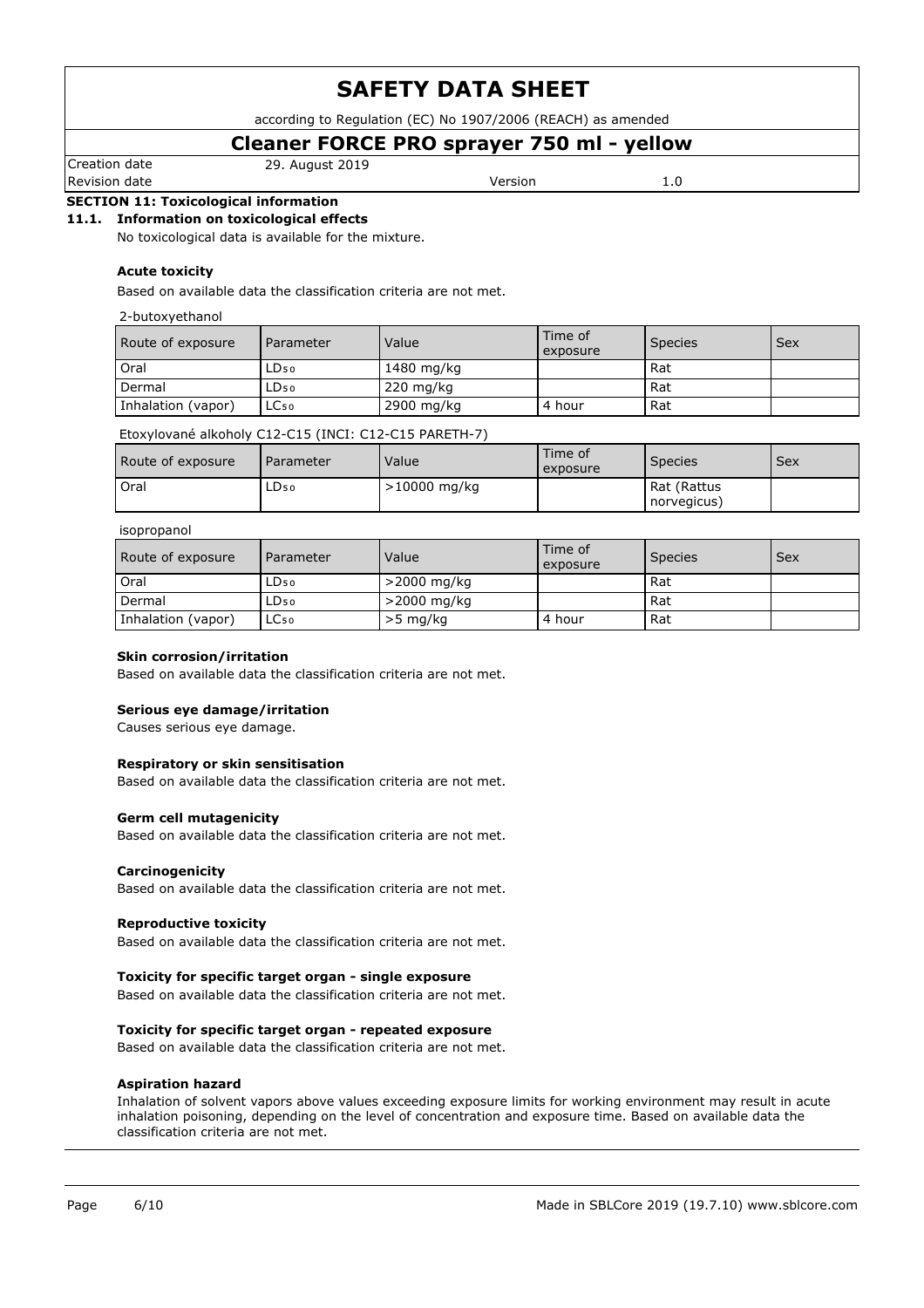according to Regulation (EC) No 1907/2006 (REACH) as amended

# **Cleaner FORCE PRO sprayer 750 ml - yellow**

Creation date 29. August 2019

Revision date and the version of the Version of the Version of the Version of the Version of the Version of the Version of the Version of the Version of the Version of the Version of the Version of the Version of the Versi

# **SECTION 11: Toxicological information**

### **11.1. Information on toxicological effects**

No toxicological data is available for the mixture.

#### **Acute toxicity**

Based on available data the classification criteria are not met.

#### 2-butoxyethanol

| Route of exposure  | Parameter        | Value               | Time of<br>exposure | <b>Species</b> | Sex |
|--------------------|------------------|---------------------|---------------------|----------------|-----|
| Oral               | $LD_{50}$        | 1480 mg/kg          |                     | l Rat          |     |
| Dermal             | LD <sub>50</sub> | $220 \text{ mg/kg}$ |                     | <b>Rat</b>     |     |
| Inhalation (vapor) | LC <sub>50</sub> | 2900 mg/kg          | 4 hour              | <b>Rat</b>     |     |

## Etoxylované alkoholy C12-C15 (INCI: C12-C15 PARETH-7)

| Route of exposure | Parameter | Value          | Time of<br>exposure | <b>Species</b>             | <b>Sex</b> |
|-------------------|-----------|----------------|---------------------|----------------------------|------------|
| Oral              | LD50      | $>10000$ mg/kg |                     | Rat (Rattus<br>norvegicus) |            |

#### isopropanol

| Route of exposure  | Parameter | Value          | Time of<br>exposure | <b>Species</b> | Sex |
|--------------------|-----------|----------------|---------------------|----------------|-----|
| Oral               | ∟D50      | $>$ 2000 mg/kg |                     | Rat            |     |
| Dermal             | LD50      | $>$ 2000 mg/kg |                     | Rat            |     |
| Inhalation (vapor) | LC50      | $>5$ mg/kg     | 4 hour              | Rat            |     |

#### **Skin corrosion/irritation**

Based on available data the classification criteria are not met.

#### **Serious eye damage/irritation**

Causes serious eye damage.

#### **Respiratory or skin sensitisation**

Based on available data the classification criteria are not met.

#### **Germ cell mutagenicity**

Based on available data the classification criteria are not met.

#### **Carcinogenicity**

Based on available data the classification criteria are not met.

#### **Reproductive toxicity**

Based on available data the classification criteria are not met.

#### **Toxicity for specific target organ - single exposure**

Based on available data the classification criteria are not met.

#### **Toxicity for specific target organ - repeated exposure**

Based on available data the classification criteria are not met.

#### **Aspiration hazard**

Inhalation of solvent vapors above values exceeding exposure limits for working environment may result in acute inhalation poisoning, depending on the level of concentration and exposure time. Based on available data the classification criteria are not met.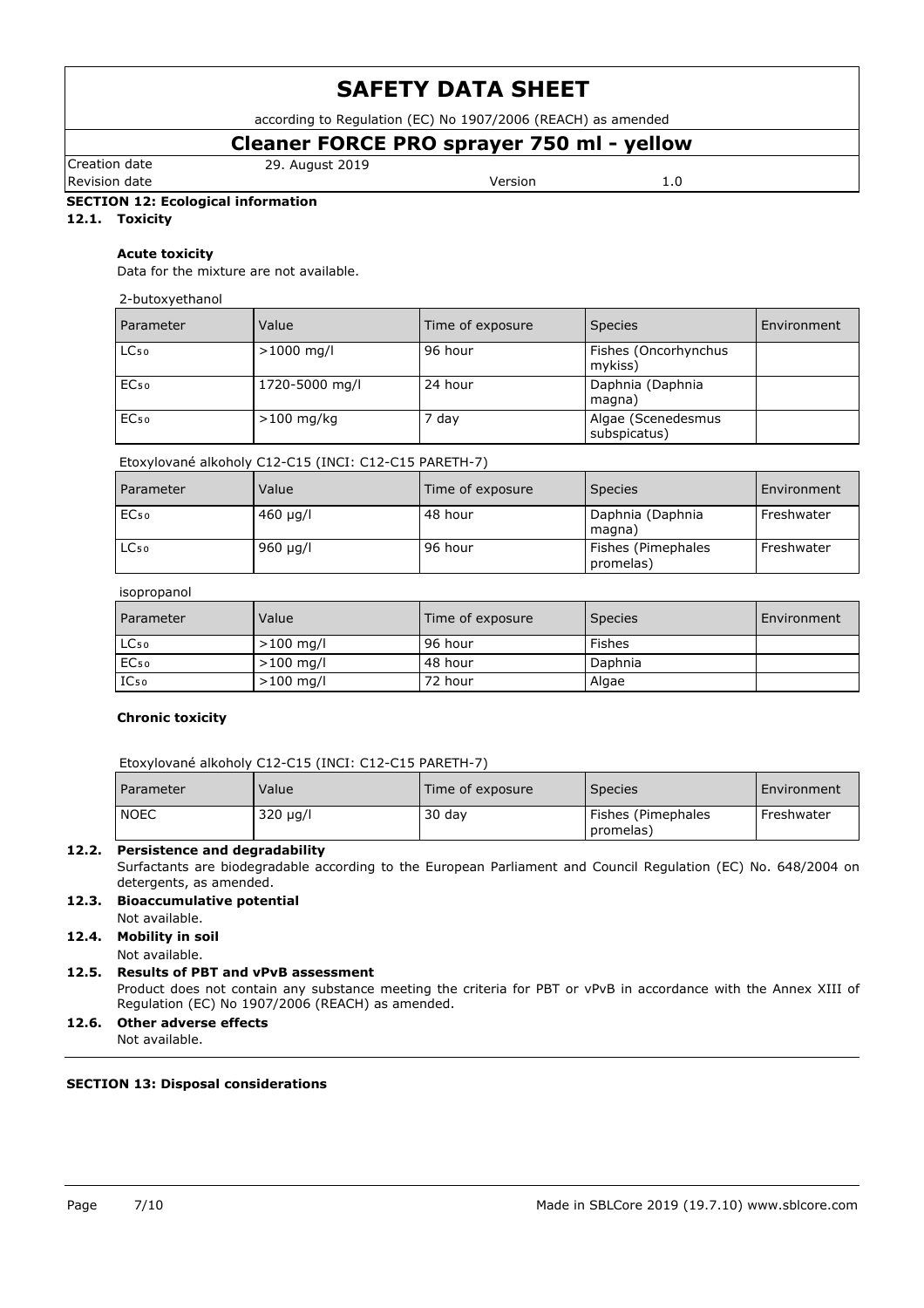according to Regulation (EC) No 1907/2006 (REACH) as amended

# **Cleaner FORCE PRO sprayer 750 ml - yellow**

Creation date 29. August 2019

Revision date **Version** 2.0

**SECTION 12: Ecological information**

**12.1. Toxicity**

### **Acute toxicity**

Data for the mixture are not available.

#### 2-butoxyethanol

| Parameter        | Value          | Time of exposure | <b>Species</b>                     | Environment |
|------------------|----------------|------------------|------------------------------------|-------------|
| LC <sub>50</sub> | $>1000$ mg/l   | 96 hour          | Fishes (Oncorhynchus<br>mykiss)    |             |
| EC <sub>50</sub> | 1720-5000 mg/l | 24 hour          | Daphnia (Daphnia<br>magna)         |             |
| EC <sub>50</sub> | $>100$ mg/kg   | 7 day            | Algae (Scenedesmus<br>subspicatus) |             |

## Etoxylované alkoholy C12-C15 (INCI: C12-C15 PARETH-7)

| Parameter        | Value         | Time of exposure | <b>Species</b>                  | Environment |
|------------------|---------------|------------------|---------------------------------|-------------|
| EC <sub>50</sub> | $460 \mu q/l$ | 48 hour          | Daphnia (Daphnia<br>magna)      | Freshwater  |
| LC <sub>50</sub> | $960 \mu q/l$ | 96 hour          | Fishes (Pimephales<br>promelas) | Freshwater  |

#### isopropanol

| Parameter        | Value       | Time of exposure | <b>Species</b> | Environment |
|------------------|-------------|------------------|----------------|-------------|
| LC <sub>50</sub> | $>100$ mg/l | 96 hour          | Fishes         |             |
| EC <sub>50</sub> | $>100$ mg/l | 48 hour          | Daphnia        |             |
| $IC_{50}$        | $>100$ mg/l | 72 hour          | Algae          |             |

## **Chronic toxicity**

| Parameter   | Value    | Time of exposure | <b>Species</b>                  | Environment |
|-------------|----------|------------------|---------------------------------|-------------|
| <b>NOEC</b> | 320 µg/l | 30 dav           | Fishes (Pimephales<br>promelas) | Freshwater  |

## **12.2. Persistence and degradability**

Surfactants are biodegradable according to the European Parliament and Council Regulation (EC) No. 648/2004 on detergents, as amended.

# **12.3. Bioaccumulative potential**

Not available.

## **12.4. Mobility in soil**

Not available.

#### **12.5. Results of PBT and vPvB assessment** Product does not contain any substance meeting the criteria for PBT or vPvB in accordance with the Annex XIII of Regulation (EC) No 1907/2006 (REACH) as amended.

# **12.6. Other adverse effects**

Not available.

## **SECTION 13: Disposal considerations**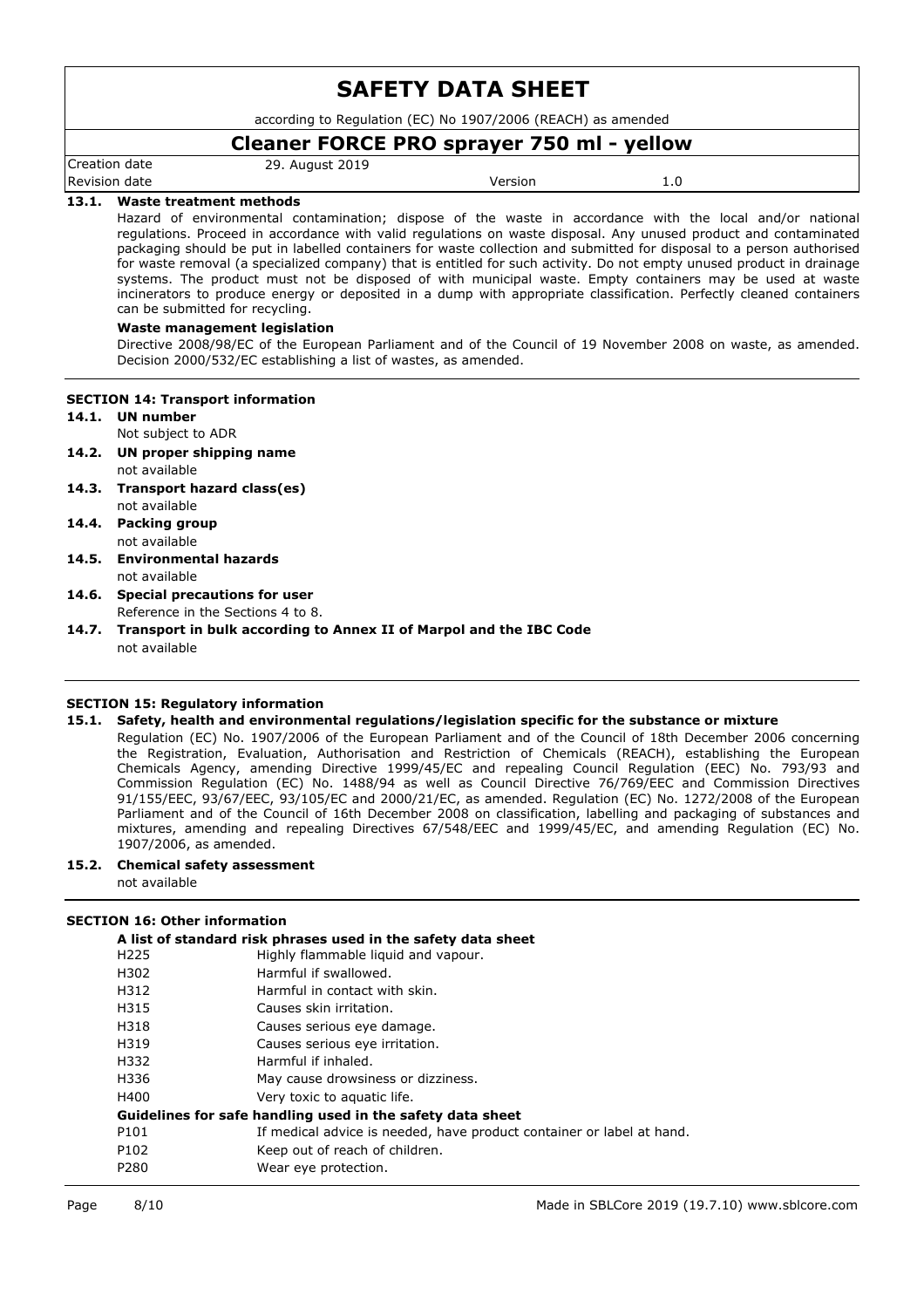according to Regulation (EC) No 1907/2006 (REACH) as amended

# **Cleaner FORCE PRO sprayer 750 ml - yellow**

Creation date 29. August 2019

Revision date and the Version of the Version of the Version of the Version of the Version of the Version of the Version of the Version of the Version of the Version of the Version of the Version of the Version of the Versi

### **13.1. Waste treatment methods**

Hazard of environmental contamination; dispose of the waste in accordance with the local and/or national regulations. Proceed in accordance with valid regulations on waste disposal. Any unused product and contaminated packaging should be put in labelled containers for waste collection and submitted for disposal to a person authorised for waste removal (a specialized company) that is entitled for such activity. Do not empty unused product in drainage systems. The product must not be disposed of with municipal waste. Empty containers may be used at waste incinerators to produce energy or deposited in a dump with appropriate classification. Perfectly cleaned containers can be submitted for recycling.

#### **Waste management legislation**

Directive 2008/98/EC of the European Parliament and of the Council of 19 November 2008 on waste, as amended. Decision 2000/532/EC establishing a list of wastes, as amended.

#### **SECTION 14: Transport information**

- **14.1. UN number**
	- Not subject to ADR
- **14.2. UN proper shipping name** not available
- **14.3. Transport hazard class(es)** not available
- **14.4. Packing group** not available
- **14.5. Environmental hazards** not available
- **14.6. Special precautions for user** Reference in the Sections 4 to 8.
- **14.7. Transport in bulk according to Annex II of Marpol and the IBC Code** not available

## **SECTION 15: Regulatory information**

#### **15.1. Safety, health and environmental regulations/legislation specific for the substance or mixture**

Regulation (EC) No. 1907/2006 of the European Parliament and of the Council of 18th December 2006 concerning the Registration, Evaluation, Authorisation and Restriction of Chemicals (REACH), establishing the European Chemicals Agency, amending Directive 1999/45/EC and repealing Council Regulation (EEC) No. 793/93 and Commission Regulation (EC) No. 1488/94 as well as Council Directive 76/769/EEC and Commission Directives 91/155/EEC, 93/67/EEC, 93/105/EC and 2000/21/EC, as amended. Regulation (EC) No. 1272/2008 of the European Parliament and of the Council of 16th December 2008 on classification, labelling and packaging of substances and mixtures, amending and repealing Directives 67/548/EEC and 1999/45/EC, and amending Regulation (EC) No. 1907/2006, as amended.

- **15.2. Chemical safety assessment**
	- not available

## **SECTION 16: Other information**

| A list of standard risk phrases used in the safety data sheet |                                                                       |  |
|---------------------------------------------------------------|-----------------------------------------------------------------------|--|
| H <sub>225</sub>                                              | Highly flammable liquid and vapour.                                   |  |
| H302                                                          | Harmful if swallowed.                                                 |  |
| H312                                                          | Harmful in contact with skin.                                         |  |
| H315                                                          | Causes skin irritation.                                               |  |
| H318                                                          | Causes serious eye damage.                                            |  |
| H319                                                          | Causes serious eye irritation.                                        |  |
| H332                                                          | Harmful if inhaled.                                                   |  |
| H336                                                          | May cause drowsiness or dizziness.                                    |  |
| H400                                                          | Very toxic to aquatic life.                                           |  |
| Guidelines for safe handling used in the safety data sheet    |                                                                       |  |
| P101                                                          | If medical advice is needed, have product container or label at hand. |  |
| P102                                                          | Keep out of reach of children.                                        |  |
| P280                                                          | Wear eye protection.                                                  |  |
|                                                               |                                                                       |  |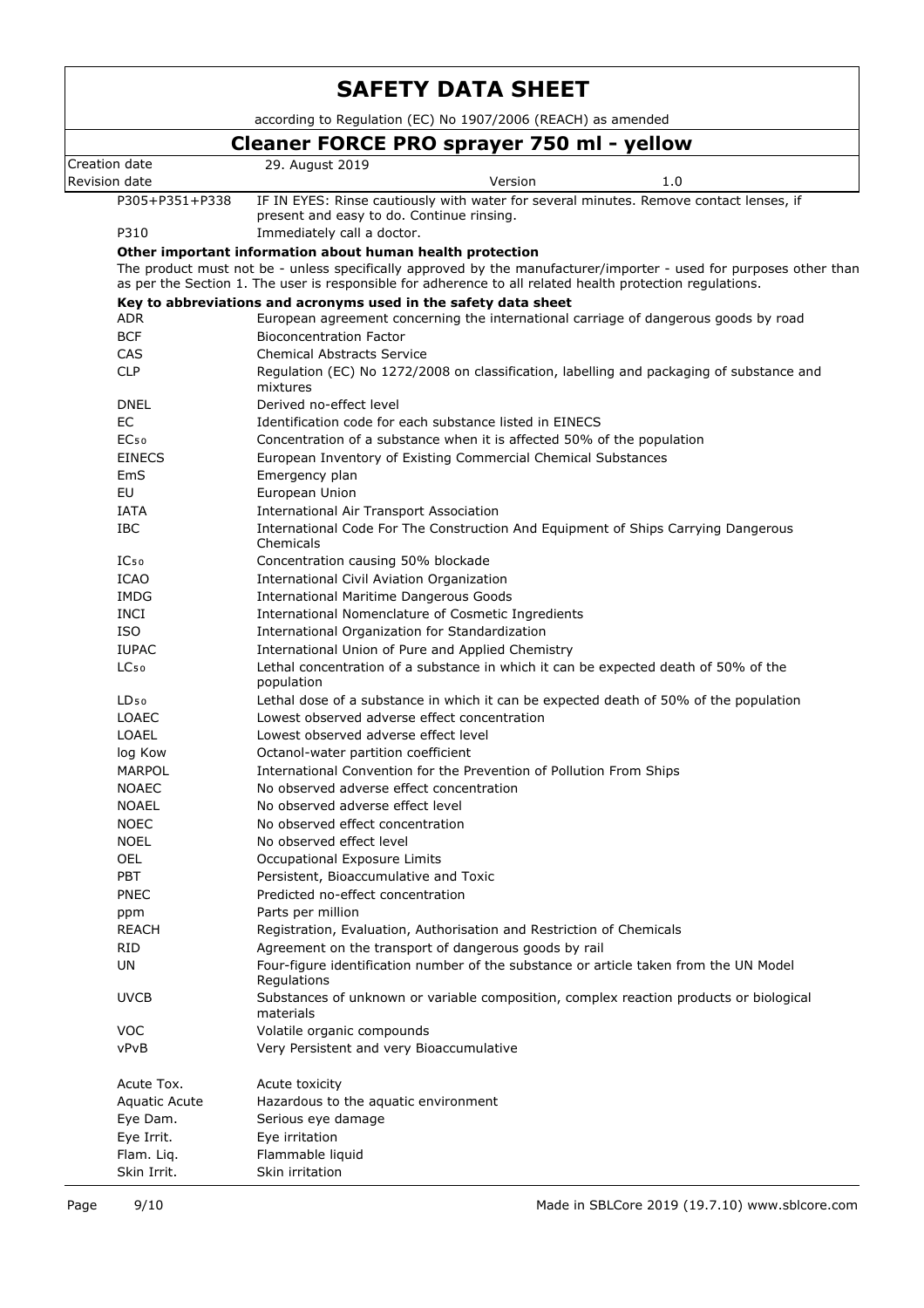|                                                              | <b>SAFETY DATA SHEET</b>                                                                                                                                                                                                                                                                     |  |  |  |  |  |
|--------------------------------------------------------------|----------------------------------------------------------------------------------------------------------------------------------------------------------------------------------------------------------------------------------------------------------------------------------------------|--|--|--|--|--|
| according to Regulation (EC) No 1907/2006 (REACH) as amended |                                                                                                                                                                                                                                                                                              |  |  |  |  |  |
|                                                              | Cleaner FORCE PRO sprayer 750 ml - yellow                                                                                                                                                                                                                                                    |  |  |  |  |  |
| Creation date                                                | 29. August 2019                                                                                                                                                                                                                                                                              |  |  |  |  |  |
| Revision date                                                | Version<br>1.0                                                                                                                                                                                                                                                                               |  |  |  |  |  |
| P305+P351+P338                                               | IF IN EYES: Rinse cautiously with water for several minutes. Remove contact lenses, if                                                                                                                                                                                                       |  |  |  |  |  |
|                                                              | present and easy to do. Continue rinsing.                                                                                                                                                                                                                                                    |  |  |  |  |  |
| P310                                                         | Immediately call a doctor.                                                                                                                                                                                                                                                                   |  |  |  |  |  |
|                                                              | Other important information about human health protection<br>The product must not be - unless specifically approved by the manufacturer/importer - used for purposes other than<br>as per the Section 1. The user is responsible for adherence to all related health protection regulations. |  |  |  |  |  |
|                                                              | Key to abbreviations and acronyms used in the safety data sheet                                                                                                                                                                                                                              |  |  |  |  |  |
| <b>ADR</b>                                                   | European agreement concerning the international carriage of dangerous goods by road                                                                                                                                                                                                          |  |  |  |  |  |
| <b>BCF</b>                                                   | <b>Bioconcentration Factor</b>                                                                                                                                                                                                                                                               |  |  |  |  |  |
| CAS<br><b>CLP</b>                                            | <b>Chemical Abstracts Service</b>                                                                                                                                                                                                                                                            |  |  |  |  |  |
|                                                              | Regulation (EC) No 1272/2008 on classification, labelling and packaging of substance and<br>mixtures                                                                                                                                                                                         |  |  |  |  |  |
| <b>DNEL</b>                                                  | Derived no-effect level                                                                                                                                                                                                                                                                      |  |  |  |  |  |
| <b>EC</b>                                                    | Identification code for each substance listed in EINECS                                                                                                                                                                                                                                      |  |  |  |  |  |
| EC <sub>50</sub><br><b>EINECS</b>                            | Concentration of a substance when it is affected 50% of the population                                                                                                                                                                                                                       |  |  |  |  |  |
| EmS                                                          | European Inventory of Existing Commercial Chemical Substances<br>Emergency plan                                                                                                                                                                                                              |  |  |  |  |  |
| <b>EU</b>                                                    | European Union                                                                                                                                                                                                                                                                               |  |  |  |  |  |
| <b>IATA</b>                                                  | <b>International Air Transport Association</b>                                                                                                                                                                                                                                               |  |  |  |  |  |
| <b>IBC</b>                                                   | International Code For The Construction And Equipment of Ships Carrying Dangerous                                                                                                                                                                                                            |  |  |  |  |  |
|                                                              | Chemicals                                                                                                                                                                                                                                                                                    |  |  |  |  |  |
| IC <sub>50</sub>                                             | Concentration causing 50% blockade                                                                                                                                                                                                                                                           |  |  |  |  |  |
| <b>ICAO</b>                                                  | International Civil Aviation Organization                                                                                                                                                                                                                                                    |  |  |  |  |  |
| <b>IMDG</b>                                                  | <b>International Maritime Dangerous Goods</b>                                                                                                                                                                                                                                                |  |  |  |  |  |
| <b>INCI</b>                                                  | International Nomenclature of Cosmetic Ingredients                                                                                                                                                                                                                                           |  |  |  |  |  |
| <b>ISO</b>                                                   | International Organization for Standardization                                                                                                                                                                                                                                               |  |  |  |  |  |
| <b>IUPAC</b>                                                 | International Union of Pure and Applied Chemistry                                                                                                                                                                                                                                            |  |  |  |  |  |
| LC <sub>50</sub>                                             | Lethal concentration of a substance in which it can be expected death of 50% of the<br>population                                                                                                                                                                                            |  |  |  |  |  |
| $LD_{50}$                                                    | Lethal dose of a substance in which it can be expected death of 50% of the population                                                                                                                                                                                                        |  |  |  |  |  |
| <b>LOAEC</b>                                                 | Lowest observed adverse effect concentration                                                                                                                                                                                                                                                 |  |  |  |  |  |
| <b>LOAEL</b>                                                 | Lowest observed adverse effect level                                                                                                                                                                                                                                                         |  |  |  |  |  |
| log Kow                                                      | Octanol-water partition coefficient                                                                                                                                                                                                                                                          |  |  |  |  |  |
| MARPOL<br><b>NOAEC</b>                                       | International Convention for the Prevention of Pollution From Ships                                                                                                                                                                                                                          |  |  |  |  |  |
| <b>NOAEL</b>                                                 | No observed adverse effect concentration<br>No observed adverse effect level                                                                                                                                                                                                                 |  |  |  |  |  |
| <b>NOEC</b>                                                  | No observed effect concentration                                                                                                                                                                                                                                                             |  |  |  |  |  |
| <b>NOEL</b>                                                  | No observed effect level                                                                                                                                                                                                                                                                     |  |  |  |  |  |
| <b>OEL</b>                                                   | Occupational Exposure Limits                                                                                                                                                                                                                                                                 |  |  |  |  |  |
| PBT                                                          | Persistent, Bioaccumulative and Toxic                                                                                                                                                                                                                                                        |  |  |  |  |  |
| <b>PNEC</b>                                                  | Predicted no-effect concentration                                                                                                                                                                                                                                                            |  |  |  |  |  |
| ppm                                                          | Parts per million                                                                                                                                                                                                                                                                            |  |  |  |  |  |
| <b>REACH</b>                                                 | Registration, Evaluation, Authorisation and Restriction of Chemicals                                                                                                                                                                                                                         |  |  |  |  |  |
| <b>RID</b>                                                   | Agreement on the transport of dangerous goods by rail                                                                                                                                                                                                                                        |  |  |  |  |  |
| UN                                                           | Four-figure identification number of the substance or article taken from the UN Model<br>Regulations                                                                                                                                                                                         |  |  |  |  |  |
| <b>UVCB</b>                                                  | Substances of unknown or variable composition, complex reaction products or biological<br>materials                                                                                                                                                                                          |  |  |  |  |  |
| VOC                                                          | Volatile organic compounds                                                                                                                                                                                                                                                                   |  |  |  |  |  |
| vPvB                                                         | Very Persistent and very Bioaccumulative                                                                                                                                                                                                                                                     |  |  |  |  |  |
| Acute Tox.                                                   | Acute toxicity                                                                                                                                                                                                                                                                               |  |  |  |  |  |
| <b>Aquatic Acute</b>                                         | Hazardous to the aquatic environment                                                                                                                                                                                                                                                         |  |  |  |  |  |
| Eye Dam.                                                     | Serious eye damage                                                                                                                                                                                                                                                                           |  |  |  |  |  |
| Eye Irrit.                                                   | Eye irritation                                                                                                                                                                                                                                                                               |  |  |  |  |  |
| Flam. Liq.                                                   | Flammable liquid                                                                                                                                                                                                                                                                             |  |  |  |  |  |
| Skin Irrit.                                                  | Skin irritation                                                                                                                                                                                                                                                                              |  |  |  |  |  |

 $\overline{a}$